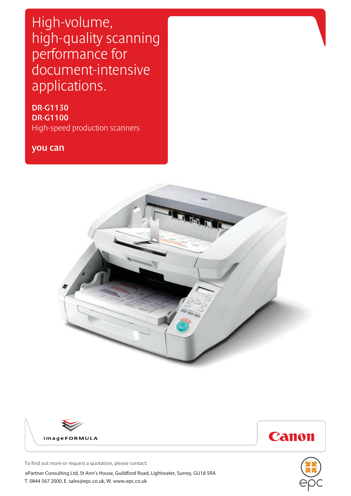High-volume, high-quality scanning performance for document-intensive applications.

**DR-G1130 DR-G1100**  High-speed production scanners

**you can**









To find out more or request a quotation, please contact:

ePartner Consulting Ltd, St Ann's House, Guildford Road, Lightwater, Surrey, GU18 5RA T. 0844 567 2000, E. sales@epc.co.uk, W. www.epc.co.uk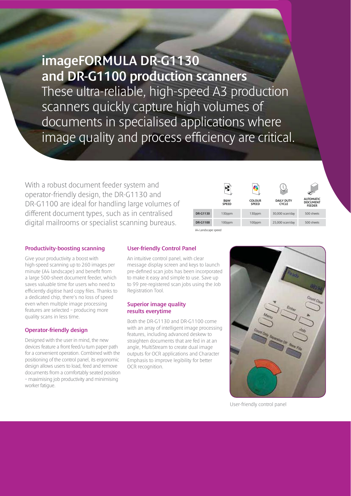**imageFORMULA DR-G1130 and DR-G1100 production scanners** These ultra-reliable, high-speed A3 production scanners quickly capture high volumes of documents in specialised applications where image quality and process efficiency are critical.

With a robust document feeder system and operator-friendly design, the DR-G1130 and DR-G1100 are ideal for handling large volumes of different document types, such as in centralised digital mailrooms or specialist scanning bureaus.

|                 | <b>B&amp;W</b><br><b>SPEED</b> | <b>COLOUR</b><br><b>SPEED</b> | <b>DAILY DUTY</b><br><b>CYCLE</b> | <b>AUTOMATIC</b><br><b>DOCUMENT</b><br><b>FEEDER</b> |
|-----------------|--------------------------------|-------------------------------|-----------------------------------|------------------------------------------------------|
| <b>DR-G1130</b> | 130ppm                         | 130ppm                        | 30,000 scan/day                   | 500 sheets                                           |
| <b>DR-G1100</b> | 100ppm                         | 100ppm                        | 25,000 scan/day                   | 500 sheets                                           |

### **Productivity-boosting scanning**

Give your productivity a boost with high-speed scanning up to 260 images per minute (A4 landscape) and benefit from a large 500-sheet document feeder, which saves valuable time for users who need to efficiently digitise hard copy files. Thanks to a dedicated chip, there's no loss of speed even when multiple image processing features are selected – producing more quality scans in less time.

#### **Operator-friendly design**

Designed with the user in mind, the new devices feature a front feed/u-turn paper path for a convenient operation. Combined with the positioning of the control panel, its ergonomic design allows users to load, feed and remove documents from a comfortably seated position – maximising job productivity and minimising worker fatigue.

#### **User-friendly Control Panel**

An intuitive control panel, with clear message display screen and keys to launch pre-defined scan jobs has been incorporated to make it easy and simple to use. Save up to 99 pre-registered scan jobs using the Job Registration Tool.

A4 Landscape speed

#### **Superior image quality results everytime**

Both the DR-G1130 and DR-G1100 come with an array of intelligent image processing features, including advanced deskew to straighten documents that are fed in at an angle, MultiStream to create dual image outputs for OCR applications and Character Emphasis to improve legibility for better OCR recognition.



User-friendly control panel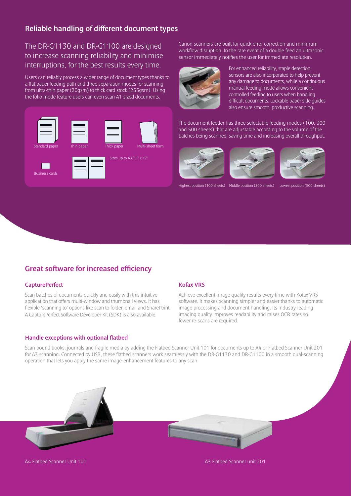## **Reliable handling of different document types**

The DR-G1130 and DR-G1100 are designed to increase scanning reliability and minimise interruptions, for the best results every time.

Users can reliably process a wider range of document types thanks to a flat paper feeding path and three separation modes for scanning from ultra-thin paper (20gsm) to thick card stock (255gsm). Using the folio mode feature users can even scan A1-sized documents.



Canon scanners are built for quick error correction and minimum workflow disruption. In the rare event of a double feed an ultrasonic sensor immediately notifies the user for immediate resolution.



For enhanced reliability, staple detection sensors are also incorporated to help prevent any damage to documents, while a continuous manual feeding mode allows convenient controlled feeding to users when handling difficult documents. Lockable paper side guides also ensure smooth, productive scanning.

The document feeder has three selectable feeding modes (100, 300 and 500 sheets) that are adjustable according to the volume of the batches being scanned, saving time and increasing overall throughput.







Highest position (100 sheets) Middle position (300 sheets) Lowest position (500 sheets)

### **Great software for increased efficiency**

#### **CapturePerfect**

Scan batches of documents quickly and easily with this intuitive application that offers multi-window and thumbnail views. It has flexible 'scanning to' options like scan to folder, email and SharePoint. A CapturePerfect Software Developer Kit (SDK) is also available.

#### **Handle exceptions with optional flatbed**

#### **Kofax VRS**

Achieve excellent image quality results every time with Kofax VRS software. It makes scanning simpler and easier thanks to automatic image processing and document handling. Its industry-leading imaging quality improves readability and raises OCR rates so fewer re-scans are required.

Scan bound books, journals and fragile media by adding the Flatbed Scanner Unit 101 for documents up to A4 or Flatbed Scanner Unit 201 for A3 scanning. Connected by USB, these flatbed scanners work seamlessly with the DR-G1130 and DR-G1100 in a smooth dual-scanning operation that lets you apply the same image-enhancement features to any scan.



A4 Flatbed Scanner Unit 101 A3 Flatbed Scanner unit 201